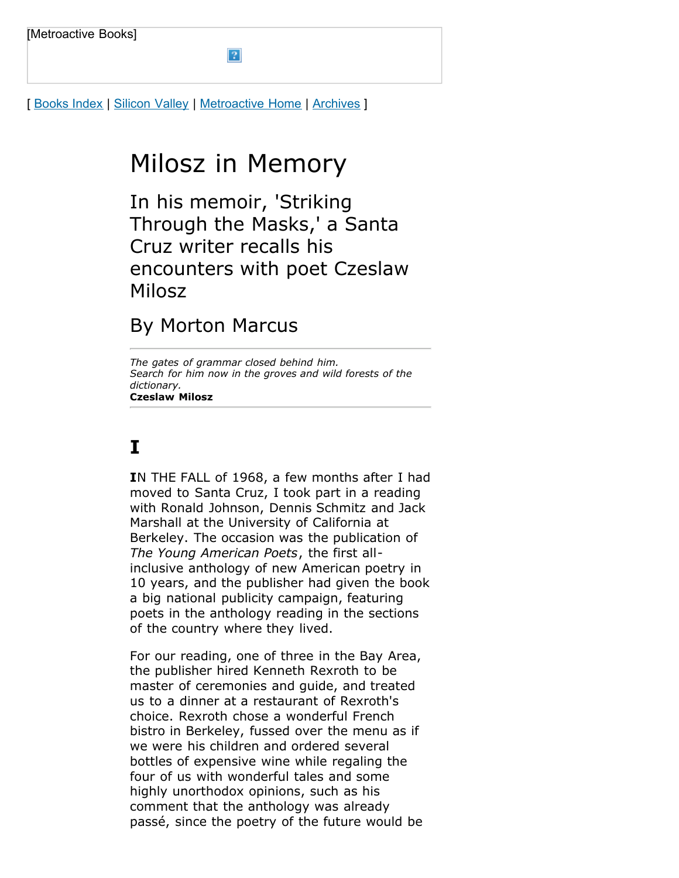[ [Books Index](http://metroactive.com/books/) | [Silicon Valley](http://www.metroactive.com/papers/metro/09.01.04/index.html) | [Metroactive Home](http://metroactive.com/) | [Archives](http://metroactive.com/papers/metro/archives.html) ]

# Milosz in Memory

 $\overline{?}$ 

In his memoir, 'Striking Through the Masks,' a Santa Cruz writer recalls his encounters with poet Czeslaw Milosz

### By Morton Marcus

*The gates of grammar closed behind him. Search for him now in the groves and wild forests of the dictionary.* **Czeslaw Milosz**

## **I**

**I**N THE FALL of 1968, a few months after I had moved to Santa Cruz, I took part in a reading with Ronald Johnson, Dennis Schmitz and Jack Marshall at the University of California at Berkeley. The occasion was the publication of *The Young American Poets*, the first allinclusive anthology of new American poetry in 10 years, and the publisher had given the book a big national publicity campaign, featuring poets in the anthology reading in the sections of the country where they lived.

For our reading, one of three in the Bay Area, the publisher hired Kenneth Rexroth to be master of ceremonies and guide, and treated us to a dinner at a restaurant of Rexroth's choice. Rexroth chose a wonderful French bistro in Berkeley, fussed over the menu as if we were his children and ordered several bottles of expensive wine while regaling the four of us with wonderful tales and some highly unorthodox opinions, such as his comment that the anthology was already passé, since the poetry of the future would be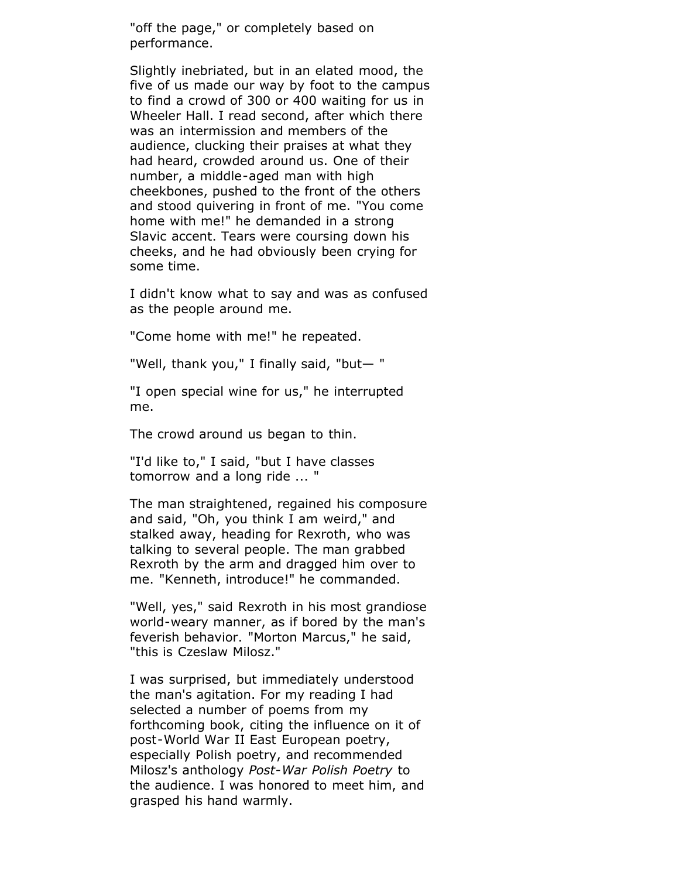"off the page," or completely based on performance.

Slightly inebriated, but in an elated mood, the five of us made our way by foot to the campus to find a crowd of 300 or 400 waiting for us in Wheeler Hall. I read second, after which there was an intermission and members of the audience, clucking their praises at what they had heard, crowded around us. One of their number, a middle-aged man with high cheekbones, pushed to the front of the others and stood quivering in front of me. "You come home with me!" he demanded in a strong Slavic accent. Tears were coursing down his cheeks, and he had obviously been crying for some time.

I didn't know what to say and was as confused as the people around me.

"Come home with me!" he repeated.

"Well, thank you," I finally said, "but— "

"I open special wine for us," he interrupted me.

The crowd around us began to thin.

"I'd like to," I said, "but I have classes tomorrow and a long ride ... "

The man straightened, regained his composure and said, "Oh, you think I am weird," and stalked away, heading for Rexroth, who was talking to several people. The man grabbed Rexroth by the arm and dragged him over to me. "Kenneth, introduce!" he commanded.

"Well, yes," said Rexroth in his most grandiose world-weary manner, as if bored by the man's feverish behavior. "Morton Marcus," he said, "this is Czeslaw Milosz."

I was surprised, but immediately understood the man's agitation. For my reading I had selected a number of poems from my forthcoming book, citing the influence on it of post-World War II East European poetry, especially Polish poetry, and recommended Milosz's anthology *Post-War Polish Poetry* to the audience. I was honored to meet him, and grasped his hand warmly.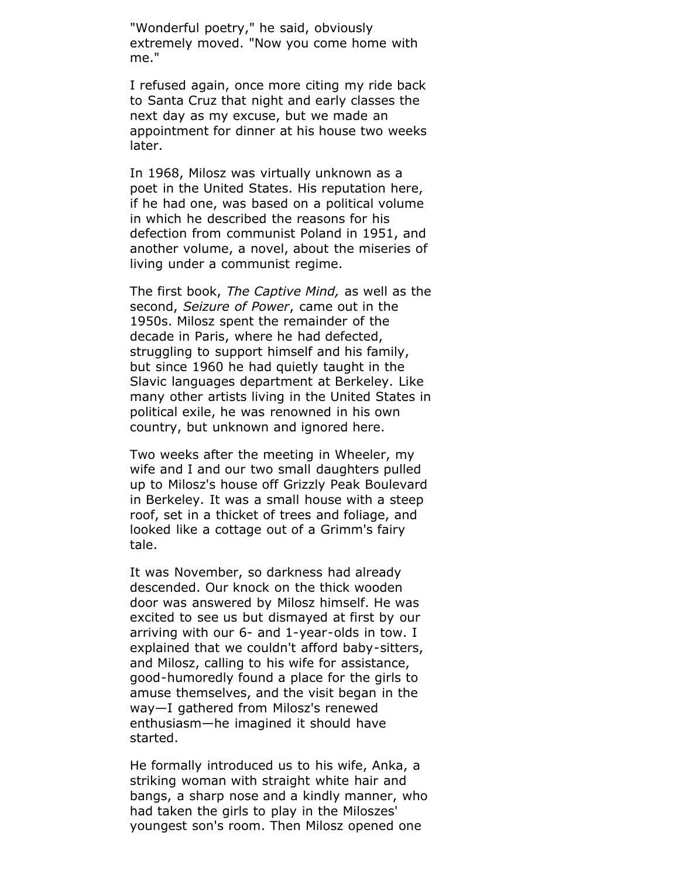"Wonderful poetry," he said, obviously extremely moved. "Now you come home with me."

I refused again, once more citing my ride back to Santa Cruz that night and early classes the next day as my excuse, but we made an appointment for dinner at his house two weeks later.

In 1968, Milosz was virtually unknown as a poet in the United States. His reputation here, if he had one, was based on a political volume in which he described the reasons for his defection from communist Poland in 1951, and another volume, a novel, about the miseries of living under a communist regime.

The first book, *The Captive Mind,* as well as the second, *Seizure of Power*, came out in the 1950s. Milosz spent the remainder of the decade in Paris, where he had defected, struggling to support himself and his family, but since 1960 he had quietly taught in the Slavic languages department at Berkeley. Like many other artists living in the United States in political exile, he was renowned in his own country, but unknown and ignored here.

Two weeks after the meeting in Wheeler, my wife and I and our two small daughters pulled up to Milosz's house off Grizzly Peak Boulevard in Berkeley. It was a small house with a steep roof, set in a thicket of trees and foliage, and looked like a cottage out of a Grimm's fairy tale.

It was November, so darkness had already descended. Our knock on the thick wooden door was answered by Milosz himself. He was excited to see us but dismayed at first by our arriving with our 6- and 1-year-olds in tow. I explained that we couldn't afford baby-sitters, and Milosz, calling to his wife for assistance, good-humoredly found a place for the girls to amuse themselves, and the visit began in the way—I gathered from Milosz's renewed enthusiasm—he imagined it should have started.

He formally introduced us to his wife, Anka, a striking woman with straight white hair and bangs, a sharp nose and a kindly manner, who had taken the girls to play in the Miloszes' youngest son's room. Then Milosz opened one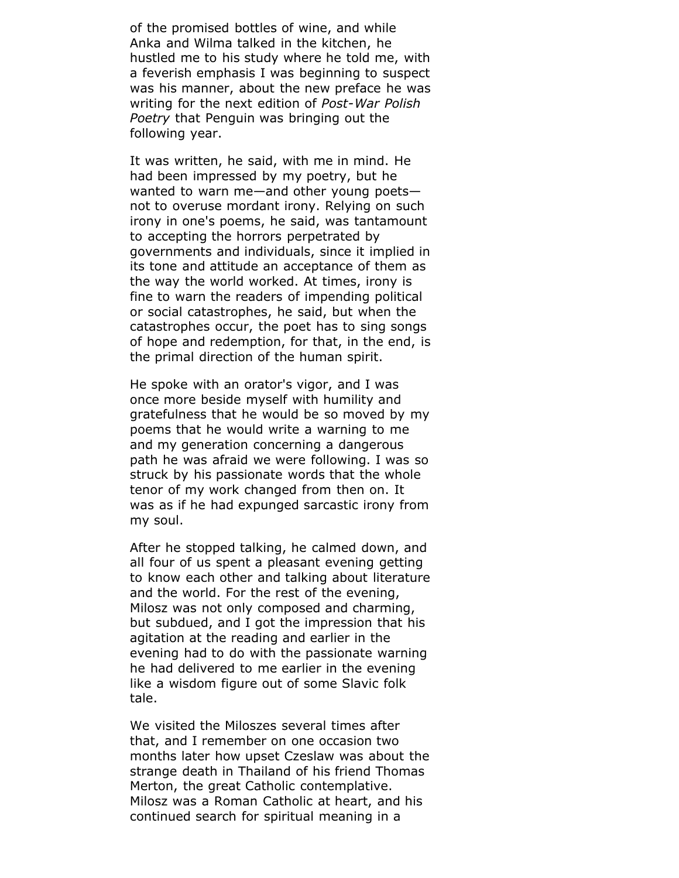of the promised bottles of wine, and while Anka and Wilma talked in the kitchen, he hustled me to his study where he told me, with a feverish emphasis I was beginning to suspect was his manner, about the new preface he was writing for the next edition of *Post-War Polish Poetry* that Penguin was bringing out the following year.

It was written, he said, with me in mind. He had been impressed by my poetry, but he wanted to warn me—and other young poets not to overuse mordant irony. Relying on such irony in one's poems, he said, was tantamount to accepting the horrors perpetrated by governments and individuals, since it implied in its tone and attitude an acceptance of them as the way the world worked. At times, irony is fine to warn the readers of impending political or social catastrophes, he said, but when the catastrophes occur, the poet has to sing songs of hope and redemption, for that, in the end, is the primal direction of the human spirit.

He spoke with an orator's vigor, and I was once more beside myself with humility and gratefulness that he would be so moved by my poems that he would write a warning to me and my generation concerning a dangerous path he was afraid we were following. I was so struck by his passionate words that the whole tenor of my work changed from then on. It was as if he had expunged sarcastic irony from my soul.

After he stopped talking, he calmed down, and all four of us spent a pleasant evening getting to know each other and talking about literature and the world. For the rest of the evening, Milosz was not only composed and charming, but subdued, and I got the impression that his agitation at the reading and earlier in the evening had to do with the passionate warning he had delivered to me earlier in the evening like a wisdom figure out of some Slavic folk tale.

We visited the Miloszes several times after that, and I remember on one occasion two months later how upset Czeslaw was about the strange death in Thailand of his friend Thomas Merton, the great Catholic contemplative. Milosz was a Roman Catholic at heart, and his continued search for spiritual meaning in a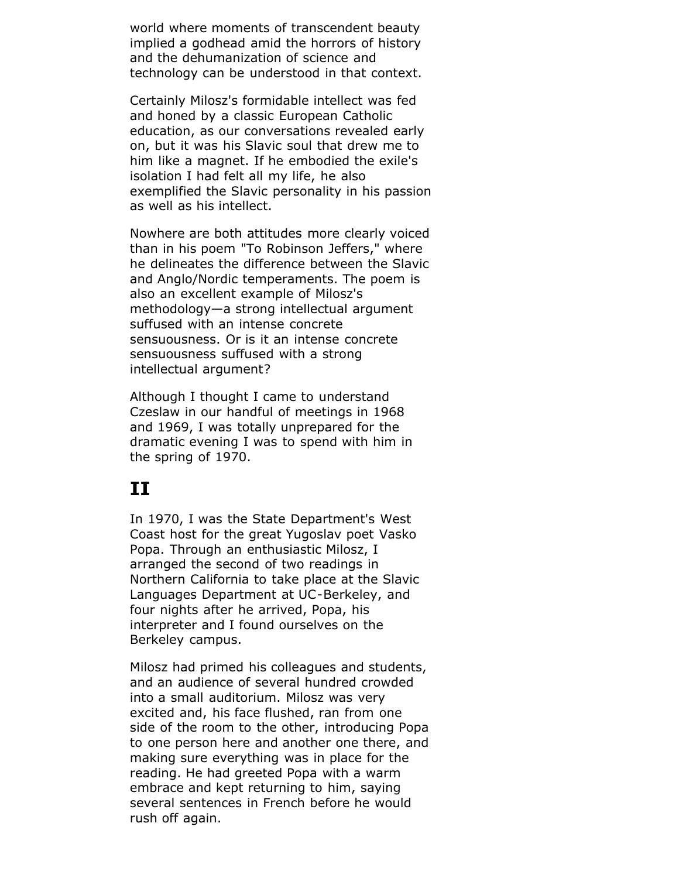world where moments of transcendent beauty implied a godhead amid the horrors of history and the dehumanization of science and technology can be understood in that context.

Certainly Milosz's formidable intellect was fed and honed by a classic European Catholic education, as our conversations revealed early on, but it was his Slavic soul that drew me to him like a magnet. If he embodied the exile's isolation I had felt all my life, he also exemplified the Slavic personality in his passion as well as his intellect.

Nowhere are both attitudes more clearly voiced than in his poem "To Robinson Jeffers," where he delineates the difference between the Slavic and Anglo/Nordic temperaments. The poem is also an excellent example of Milosz's methodology—a strong intellectual argument suffused with an intense concrete sensuousness. Or is it an intense concrete sensuousness suffused with a strong intellectual argument?

Although I thought I came to understand Czeslaw in our handful of meetings in 1968 and 1969, I was totally unprepared for the dramatic evening I was to spend with him in the spring of 1970.

#### **II**

In 1970, I was the State Department's West Coast host for the great Yugoslav poet Vasko Popa. Through an enthusiastic Milosz, I arranged the second of two readings in Northern California to take place at the Slavic Languages Department at UC-Berkeley, and four nights after he arrived, Popa, his interpreter and I found ourselves on the Berkeley campus.

Milosz had primed his colleagues and students, and an audience of several hundred crowded into a small auditorium. Milosz was very excited and, his face flushed, ran from one side of the room to the other, introducing Popa to one person here and another one there, and making sure everything was in place for the reading. He had greeted Popa with a warm embrace and kept returning to him, saying several sentences in French before he would rush off again.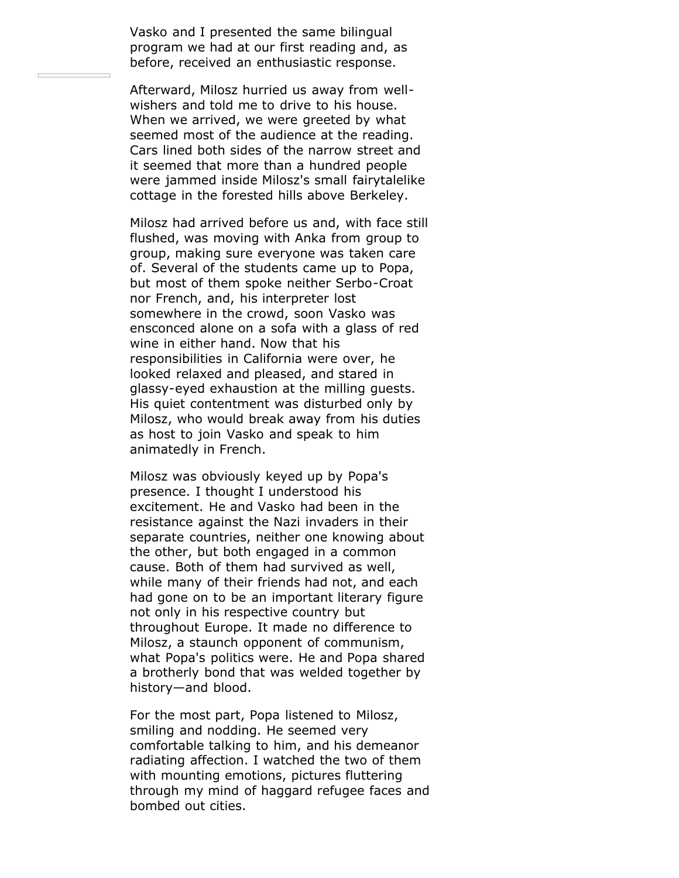Vasko and I presented the same bilingual program we had at our first reading and, as before, received an enthusiastic response.

Afterward, Milosz hurried us away from wellwishers and told me to drive to his house. When we arrived, we were greeted by what seemed most of the audience at the reading. Cars lined both sides of the narrow street and it seemed that more than a hundred people were jammed inside Milosz's small fairytalelike cottage in the forested hills above Berkeley.

Milosz had arrived before us and, with face still flushed, was moving with Anka from group to group, making sure everyone was taken care of. Several of the students came up to Popa, but most of them spoke neither Serbo-Croat nor French, and, his interpreter lost somewhere in the crowd, soon Vasko was ensconced alone on a sofa with a glass of red wine in either hand. Now that his responsibilities in California were over, he looked relaxed and pleased, and stared in glassy-eyed exhaustion at the milling guests. His quiet contentment was disturbed only by Milosz, who would break away from his duties as host to join Vasko and speak to him animatedly in French.

Milosz was obviously keyed up by Popa's presence. I thought I understood his excitement. He and Vasko had been in the resistance against the Nazi invaders in their separate countries, neither one knowing about the other, but both engaged in a common cause. Both of them had survived as well, while many of their friends had not, and each had gone on to be an important literary figure not only in his respective country but throughout Europe. It made no difference to Milosz, a staunch opponent of communism, what Popa's politics were. He and Popa shared a brotherly bond that was welded together by history—and blood.

For the most part, Popa listened to Milosz, smiling and nodding. He seemed very comfortable talking to him, and his demeanor radiating affection. I watched the two of them with mounting emotions, pictures fluttering through my mind of haggard refugee faces and bombed out cities.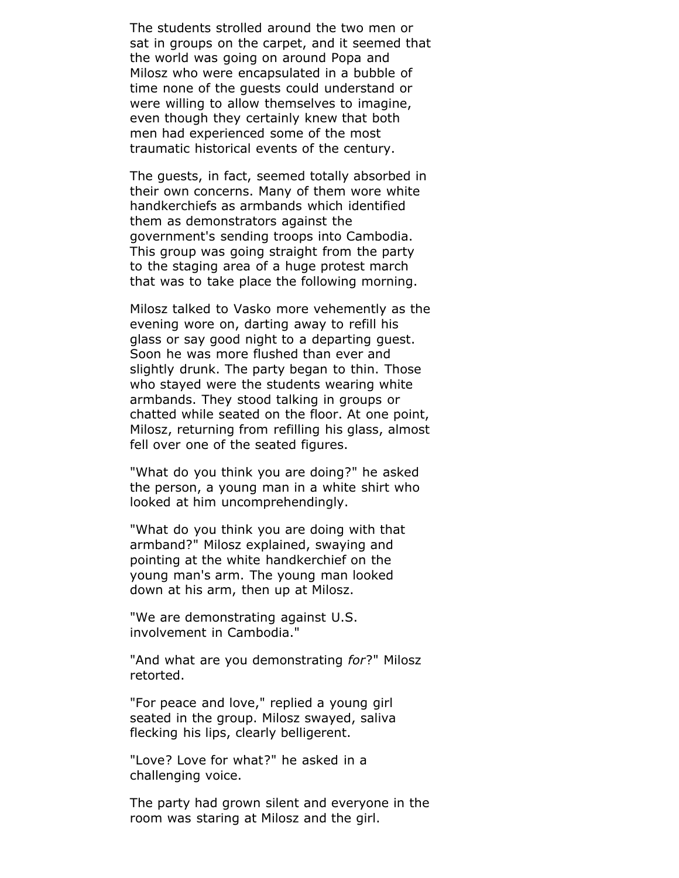The students strolled around the two men or sat in groups on the carpet, and it seemed that the world was going on around Popa and Milosz who were encapsulated in a bubble of time none of the guests could understand or were willing to allow themselves to imagine, even though they certainly knew that both men had experienced some of the most traumatic historical events of the century.

The guests, in fact, seemed totally absorbed in their own concerns. Many of them wore white handkerchiefs as armbands which identified them as demonstrators against the government's sending troops into Cambodia. This group was going straight from the party to the staging area of a huge protest march that was to take place the following morning.

Milosz talked to Vasko more vehemently as the evening wore on, darting away to refill his glass or say good night to a departing guest. Soon he was more flushed than ever and slightly drunk. The party began to thin. Those who stayed were the students wearing white armbands. They stood talking in groups or chatted while seated on the floor. At one point, Milosz, returning from refilling his glass, almost fell over one of the seated figures.

"What do you think you are doing?" he asked the person, a young man in a white shirt who looked at him uncomprehendingly.

"What do you think you are doing with that armband?" Milosz explained, swaying and pointing at the white handkerchief on the young man's arm. The young man looked down at his arm, then up at Milosz.

"We are demonstrating against U.S. involvement in Cambodia."

"And what are you demonstrating *for*?" Milosz retorted.

"For peace and love," replied a young girl seated in the group. Milosz swayed, saliva flecking his lips, clearly belligerent.

"Love? Love for what?" he asked in a challenging voice.

The party had grown silent and everyone in the room was staring at Milosz and the girl.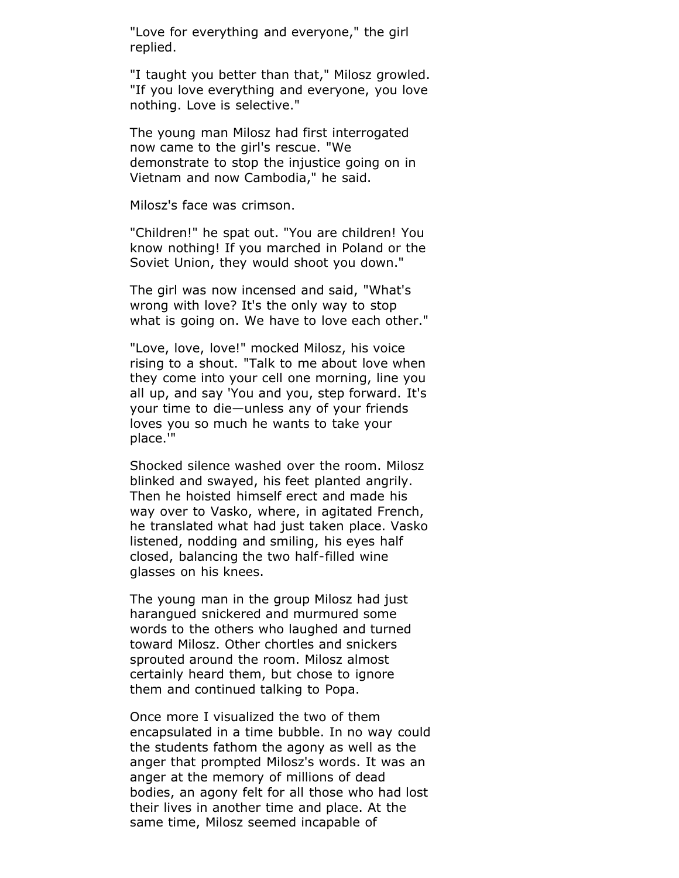"Love for everything and everyone," the girl replied.

"I taught you better than that," Milosz growled. "If you love everything and everyone, you love nothing. Love is selective."

The young man Milosz had first interrogated now came to the girl's rescue. "We demonstrate to stop the injustice going on in Vietnam and now Cambodia," he said.

Milosz's face was crimson.

"Children!" he spat out. "You are children! You know nothing! If you marched in Poland or the Soviet Union, they would shoot you down."

The girl was now incensed and said, "What's wrong with love? It's the only way to stop what is going on. We have to love each other."

"Love, love, love!" mocked Milosz, his voice rising to a shout. "Talk to me about love when they come into your cell one morning, line you all up, and say 'You and you, step forward. It's your time to die—unless any of your friends loves you so much he wants to take your place.'"

Shocked silence washed over the room. Milosz blinked and swayed, his feet planted angrily. Then he hoisted himself erect and made his way over to Vasko, where, in agitated French, he translated what had just taken place. Vasko listened, nodding and smiling, his eyes half closed, balancing the two half-filled wine glasses on his knees.

The young man in the group Milosz had just harangued snickered and murmured some words to the others who laughed and turned toward Milosz. Other chortles and snickers sprouted around the room. Milosz almost certainly heard them, but chose to ignore them and continued talking to Popa.

Once more I visualized the two of them encapsulated in a time bubble. In no way could the students fathom the agony as well as the anger that prompted Milosz's words. It was an anger at the memory of millions of dead bodies, an agony felt for all those who had lost their lives in another time and place. At the same time, Milosz seemed incapable of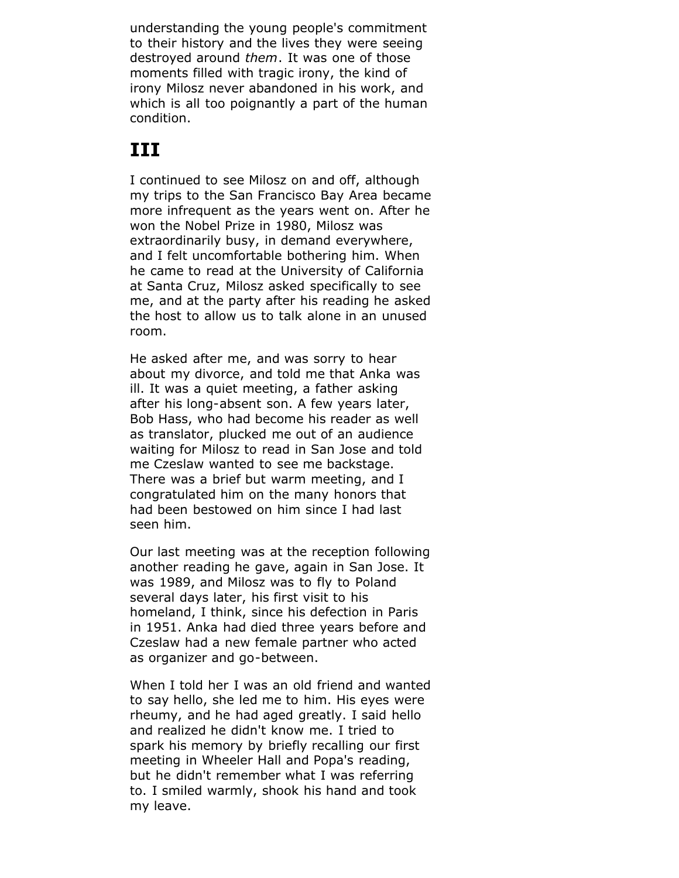understanding the young people's commitment to their history and the lives they were seeing destroyed around *them*. It was one of those moments filled with tragic irony, the kind of irony Milosz never abandoned in his work, and which is all too poignantly a part of the human condition.

## **III**

I continued to see Milosz on and off, although my trips to the San Francisco Bay Area became more infrequent as the years went on. After he won the Nobel Prize in 1980, Milosz was extraordinarily busy, in demand everywhere, and I felt uncomfortable bothering him. When he came to read at the University of California at Santa Cruz, Milosz asked specifically to see me, and at the party after his reading he asked the host to allow us to talk alone in an unused room.

He asked after me, and was sorry to hear about my divorce, and told me that Anka was ill. It was a quiet meeting, a father asking after his long-absent son. A few years later, Bob Hass, who had become his reader as well as translator, plucked me out of an audience waiting for Milosz to read in San Jose and told me Czeslaw wanted to see me backstage. There was a brief but warm meeting, and I congratulated him on the many honors that had been bestowed on him since I had last seen him.

Our last meeting was at the reception following another reading he gave, again in San Jose. It was 1989, and Milosz was to fly to Poland several days later, his first visit to his homeland, I think, since his defection in Paris in 1951. Anka had died three years before and Czeslaw had a new female partner who acted as organizer and go-between.

When I told her I was an old friend and wanted to say hello, she led me to him. His eyes were rheumy, and he had aged greatly. I said hello and realized he didn't know me. I tried to spark his memory by briefly recalling our first meeting in Wheeler Hall and Popa's reading, but he didn't remember what I was referring to. I smiled warmly, shook his hand and took my leave.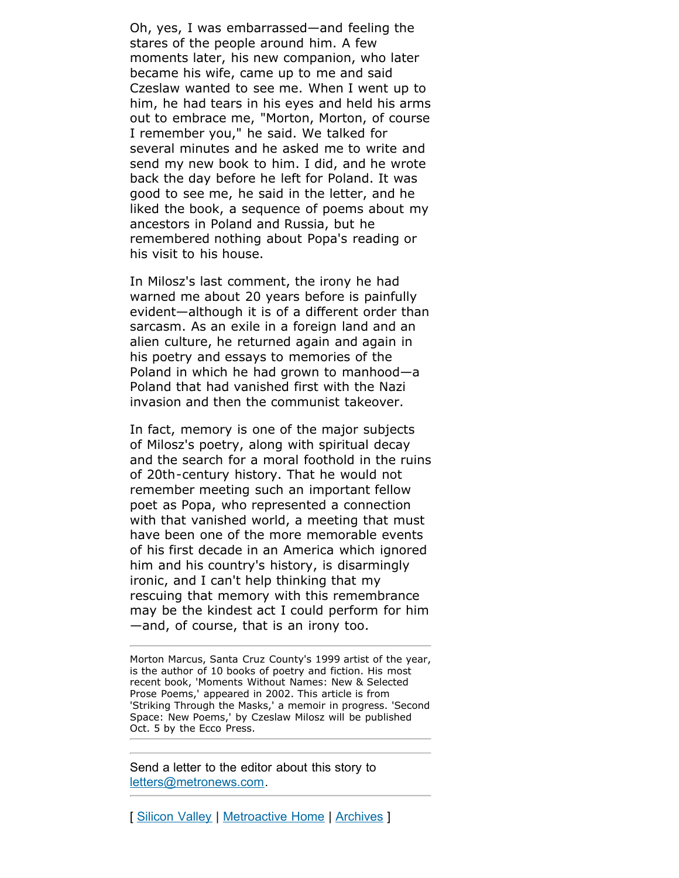Oh, yes, I was embarrassed—and feeling the stares of the people around him. A few moments later, his new companion, who later became his wife, came up to me and said Czeslaw wanted to see me. When I went up to him, he had tears in his eyes and held his arms out to embrace me, "Morton, Morton, of course I remember you," he said. We talked for several minutes and he asked me to write and send my new book to him. I did, and he wrote back the day before he left for Poland. It was good to see me, he said in the letter, and he liked the book, a sequence of poems about my ancestors in Poland and Russia, but he remembered nothing about Popa's reading or his visit to his house.

In Milosz's last comment, the irony he had warned me about 20 years before is painfully evident—although it is of a different order than sarcasm. As an exile in a foreign land and an alien culture, he returned again and again in his poetry and essays to memories of the Poland in which he had grown to manhood—a Poland that had vanished first with the Nazi invasion and then the communist takeover.

In fact, memory is one of the major subjects of Milosz's poetry, along with spiritual decay and the search for a moral foothold in the ruins of 20th-century history. That he would not remember meeting such an important fellow poet as Popa, who represented a connection with that vanished world, a meeting that must have been one of the more memorable events of his first decade in an America which ignored him and his country's history, is disarmingly ironic, and I can't help thinking that my rescuing that memory with this remembrance may be the kindest act I could perform for him —and, of course, that is an irony too.

Morton Marcus, Santa Cruz County's 1999 artist of the year, is the author of 10 books of poetry and fiction. His most recent book, 'Moments Without Names: New & Selected Prose Poems,' appeared in 2002. This article is from 'Striking Through the Masks,' a memoir in progress. 'Second Space: New Poems,' by Czeslaw Milosz will be published Oct. 5 by the Ecco Press.

Send a letter to the editor about this story to [letters@metronews.com.](mailto:letters@metronews.com)

[ [Silicon Valley](http://www.metroactive.com/papers/metro/09.01.04/index.html) | [Metroactive Home](http://metroactive.com/) | [Archives](http://metroactive.com/papers/metro/archives.html) ]